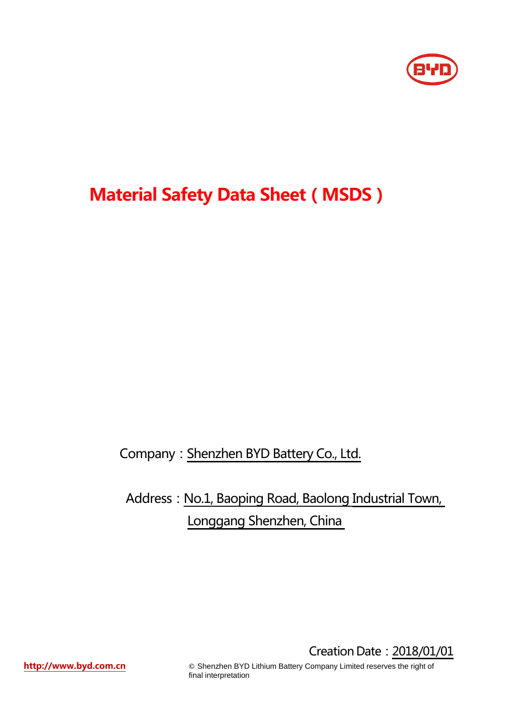

# **Material Safety Data Sheet(MSDS)**

Company: Shenzhen BYD Battery Co., Ltd.

Address: No.1, Baoping Road, Baolong Industrial Town, Longgang Shenzhen, China

**[http://www.byd.com.cn](http://www.byd.com.cn/)** <br>
©
Shenzhen BYD Lithium Battery Company Limited reserves the right of final interpretation

Creation Date:2018/01/01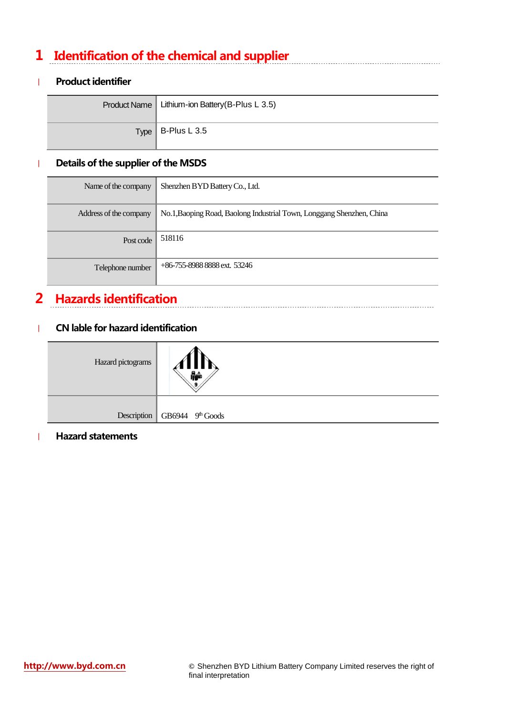## **1 Identification of the chemical and supplier**

### | **Product identifier**

| Product Name   Lithium-ion Battery (B-Plus L 3.5) |
|---------------------------------------------------|
| $Type$ B-Plus L 3.5                               |

### | **Details of the supplier of the MSDS**

| Name of the company    | Shenzhen BYD Battery Co., Ltd.                                        |
|------------------------|-----------------------------------------------------------------------|
| Address of the company | No.1, Baoping Road, Baolong Industrial Town, Longgang Shenzhen, China |
| Post code              | 518116                                                                |
| Telephone number       | $+86-755-8988888$ ext. 53246                                          |

## **2 Hazards identification**

#### | **CN lable for hazard identification**

| Hazard pictograms |                                  |
|-------------------|----------------------------------|
|                   |                                  |
|                   | Description   GB6944 $9th$ Goods |

#### | **Hazard statements**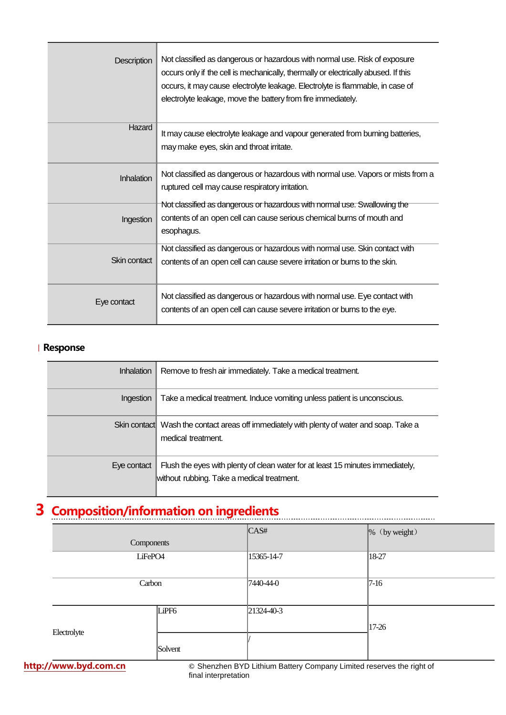| <b>Description</b> | Not classified as dangerous or hazardous with normal use. Risk of exposure<br>occurs only if the cell is mechanically, thermally or electrically abused. If this<br>occurs, it may cause electrolyte leakage. Electrolyte is flammable, in case of<br>electrolyte leakage, move the battery from fire immediately. |
|--------------------|--------------------------------------------------------------------------------------------------------------------------------------------------------------------------------------------------------------------------------------------------------------------------------------------------------------------|
| Hazard             | It may cause electrolyte leakage and vapour generated from burning batteries,<br>may make eyes, skin and throat irritate.                                                                                                                                                                                          |
| <b>Inhalation</b>  | Not classified as dangerous or hazardous with normal use. Vapors or mists from a<br>ruptured cell may cause respiratory irritation.                                                                                                                                                                                |
| Ingestion          | Not classified as dangerous or hazardous with normal use. Swallowing the<br>contents of an open cell can cause serious chemical burns of mouth and<br>esophagus.                                                                                                                                                   |
| Skin contact       | Not classified as dangerous or hazardous with normal use. Skin contact with<br>contents of an open cell can cause severe irritation or burns to the skin.                                                                                                                                                          |
| Eye contact        | Not classified as dangerous or hazardous with normal use. Eye contact with<br>contents of an open cell can cause severe irritation or burns to the eye.                                                                                                                                                            |

#### | **Response**

| <b>Inhalation</b> | Remove to fresh air immediately. Take a medical treatment.                                                                   |
|-------------------|------------------------------------------------------------------------------------------------------------------------------|
| Ingestion         | Take a medical treatment. Induce vomiting unless patient is unconscious.                                                     |
|                   | Skin contact Wash the contact areas off immediately with plenty of water and soap. Take a<br>medical treatment.              |
| Eye contact       | Flush the eyes with plenty of clean water for at least 15 minutes immediately,<br>without rubbing. Take a medical treatment. |

# **3 Composition/information on ingredients**

|                     |            | $\mathsf{C}\mathsf{A}\mathsf{S}\#$ | $\left  \%\right $ (by weight) |
|---------------------|------------|------------------------------------|--------------------------------|
|                     | Components |                                    |                                |
| LiFePO <sub>4</sub> |            | 15365-14-7                         | 18-27                          |
|                     | Carbon     | 7440-44-0                          | $7-16$                         |
| Electrolyte         | LiPF6      | 21324-40-3                         | $17 - 26$                      |
|                     | Solvent    |                                    |                                |

**[http://www.byd.com.cn](http://www.byd.com.cn/) ©** Shenzhen BYD Lithium Battery Company Limited reserves the right of final interpretation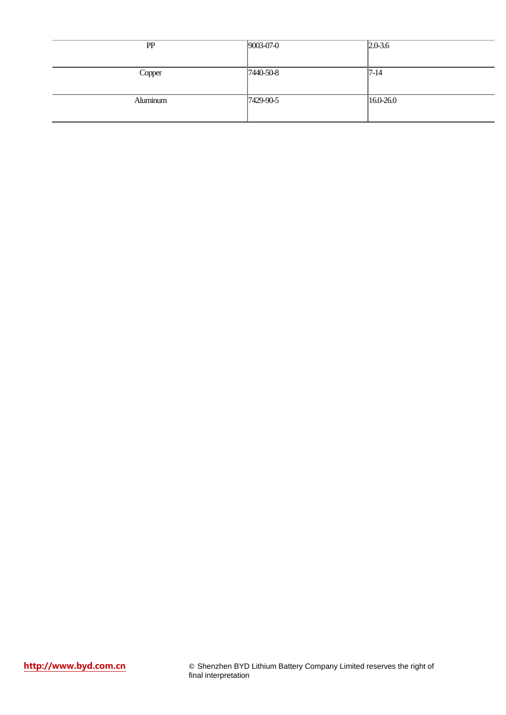| PP       | $9003-07-0$     | $ 2.0 - 3.6 $ |
|----------|-----------------|---------------|
|          |                 |               |
| Copper   | $7440 - 50 - 8$ | $ 7-14 $      |
|          |                 |               |
| Aluminum | 7429-90-5       | 16.0-26.0     |
|          |                 |               |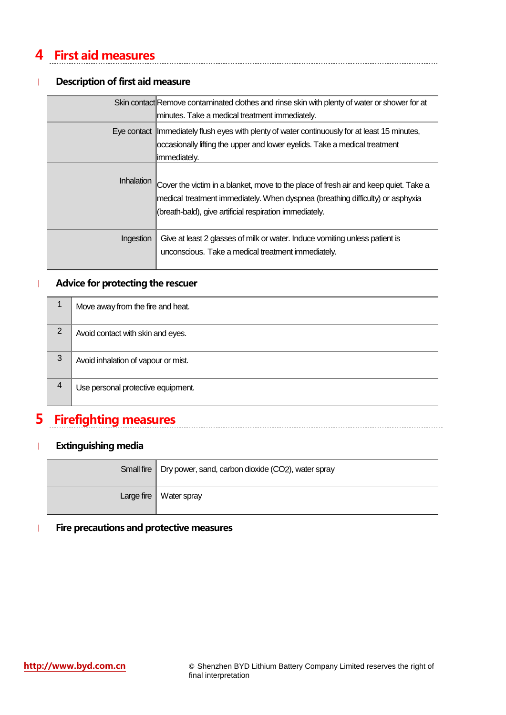## **4 First aid measures**

### | **Description of first aid measure**

|            | Skin contact Remove contaminated clothes and rinse skin with plenty of water or shower for at<br>minutes. Take a medical treatment immediately.                                                                                   |
|------------|-----------------------------------------------------------------------------------------------------------------------------------------------------------------------------------------------------------------------------------|
|            | Eye contact   Immediately flush eyes with plenty of water continuously for at least 15 minutes,<br>occasionally lifting the upper and lower eyelids. Take a medical treatment<br>limmediately.                                    |
| Inhalation | Cover the victim in a blanket, move to the place of fresh air and keep quiet. Take a<br>medical treatment immediately. When dyspnea (breathing difficulty) or asphyxia<br>(breath-bald), give artificial respiration immediately. |
| Ingestion  | Give at least 2 glasses of milk or water. Induce vomiting unless patient is<br>unconscious. Take a medical treatment immediately.                                                                                                 |

#### | **Advice for protecting the rescuer**

|                | Move away from the fire and heat.   |
|----------------|-------------------------------------|
| $\overline{2}$ | Avoid contact with skin and eyes.   |
| 3              | Avoid inhalation of vapour or mist. |
| 4              | Use personal protective equipment.  |

### **5 Firefighting measures**

### | **Extinguishing media**

| Small fire   Dry power, sand, carbon dioxide (CO2), water spray |
|-----------------------------------------------------------------|
| Large fire $\vert$ Water spray                                  |

### | **Fire precautions and protective measures**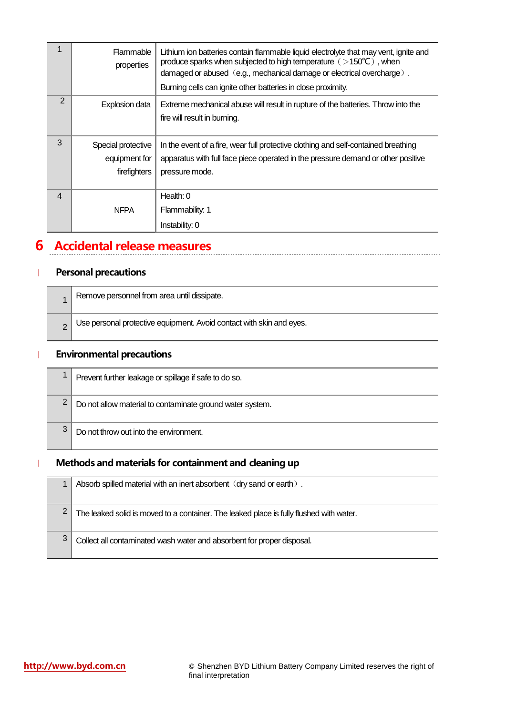| 1              | Flammable<br>properties | Lithium ion batteries contain flammable liquid electrolyte that may vent, ignite and<br>produce sparks when subjected to high temperature $($ >150 $^{\circ}$ C $)$ , when<br>damaged or abused (e.g., mechanical damage or electrical overcharge).<br>Burning cells can ignite other batteries in close proximity. |
|----------------|-------------------------|---------------------------------------------------------------------------------------------------------------------------------------------------------------------------------------------------------------------------------------------------------------------------------------------------------------------|
| 2              | Explosion data          | Extreme mechanical abuse will result in rupture of the batteries. Throw into the                                                                                                                                                                                                                                    |
|                |                         | fire will result in burning.                                                                                                                                                                                                                                                                                        |
| 3              | Special protective      | In the event of a fire, wear full protective clothing and self-contained breathing                                                                                                                                                                                                                                  |
|                | equipment for           | apparatus with full face piece operated in the pressure demand or other positive                                                                                                                                                                                                                                    |
|                | firefighters            | pressure mode.                                                                                                                                                                                                                                                                                                      |
| $\overline{4}$ |                         | Health: 0                                                                                                                                                                                                                                                                                                           |
|                | <b>NFPA</b>             | Flammability: 1                                                                                                                                                                                                                                                                                                     |
|                |                         | Instability: 0                                                                                                                                                                                                                                                                                                      |

### **6 Accidental release measures**

### | **Personal precautions**

| Remove personnel from area until dissipate.                          |
|----------------------------------------------------------------------|
| Use personal protective equipment. Avoid contact with skin and eyes. |

### | **Environmental precautions**

|   | Prevent further leakage or spillage if safe to do so.     |
|---|-----------------------------------------------------------|
|   | Do not allow material to contaminate ground water system. |
| 3 | Do not throw out into the environment.                    |

### | **Methods and materials for containment and cleaning up**

|   | Absorb spilled material with an inert absorbent (dry sand or earth).                    |
|---|-----------------------------------------------------------------------------------------|
|   | The leaked solid is moved to a container. The leaked place is fully flushed with water. |
| 3 | Collect all contaminated wash water and absorbent for proper disposal.                  |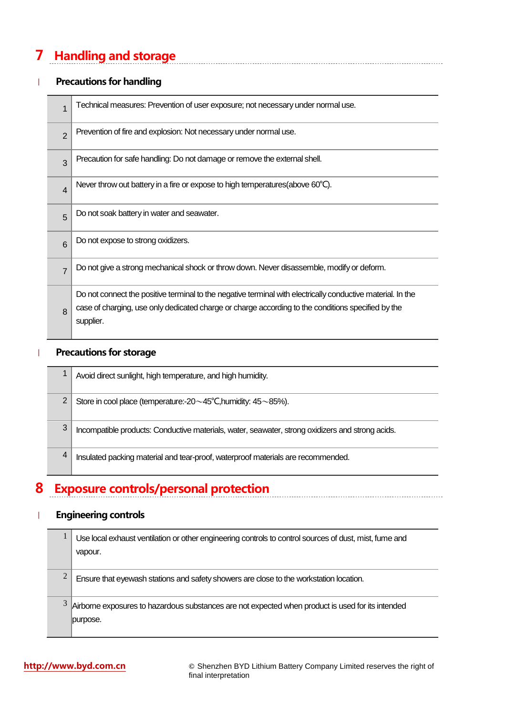## **7 Handling and storage**

### | **Precautions for handling**

| 1              | Technical measures: Prevention of user exposure; not necessary under normal use.                                                                                                                                               |
|----------------|--------------------------------------------------------------------------------------------------------------------------------------------------------------------------------------------------------------------------------|
| $\overline{2}$ | Prevention of fire and explosion: Not necessary under normal use.                                                                                                                                                              |
| 3              | Precaution for safe handling: Do not damage or remove the external shell.                                                                                                                                                      |
| $\overline{4}$ | Never throw out battery in a fire or expose to high temperatures (above 60°C).                                                                                                                                                 |
| 5              | Do not soak battery in water and seawater.                                                                                                                                                                                     |
| 6              | Do not expose to strong oxidizers.                                                                                                                                                                                             |
| 7              | Do not give a strong mechanical shock or throw down. Never disassemble, modify or deform.                                                                                                                                      |
| 8              | Do not connect the positive terminal to the negative terminal with electrically conductive material. In the<br>case of charging, use only dedicated charge or charge according to the conditions specified by the<br>supplier. |

### | **Precautions for storage**

|   | Avoid direct sunlight, high temperature, and high humidity.                                      |
|---|--------------------------------------------------------------------------------------------------|
| 2 | Store in cool place (temperature:- $20 \sim 45^{\circ}$ C, humidity: $45 \sim 85\%$ ).           |
| 3 | Incompatible products: Conductive materials, water, seawater, strong oxidizers and strong acids. |
| 4 | Insulated packing material and tear-proof, waterproof materials are recommended.                 |

### **8 Exposure controls/personal protection**

### | **Engineering controls**

|   | Use local exhaust ventilation or other engineering controls to control sources of dust, mist, fume and<br>vapour. |
|---|-------------------------------------------------------------------------------------------------------------------|
| 2 | Ensure that eyewash stations and safety showers are close to the workstation location.                            |
|   | Airborne exposures to hazardous substances are not expected when product is used for its intended<br>purpose.     |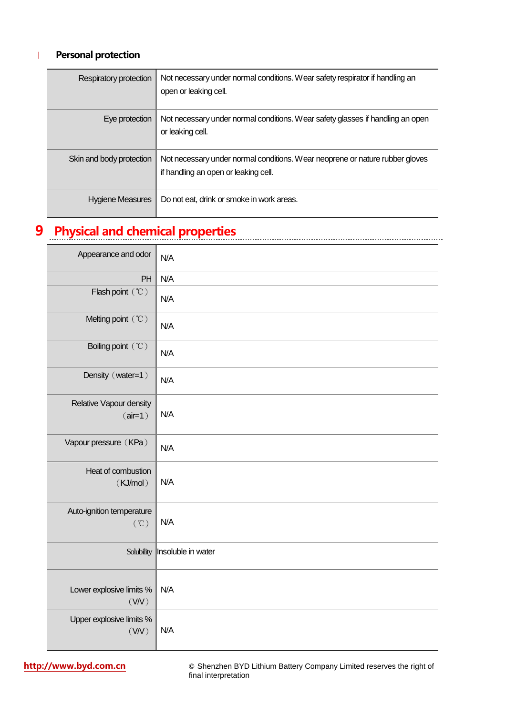### | **Personal protection**

| Respiratory protection   | Not necessary under normal conditions. Wear safety respirator if handling an<br>open or leaking cell.                |
|--------------------------|----------------------------------------------------------------------------------------------------------------------|
| Eye protection           | Not necessary under normal conditions. Wear safety glasses if handling an open<br>or leaking cell.                   |
| Skin and body protection | Not necessary under normal conditions. Wear neoprene or nature rubber gloves<br>if handling an open or leaking cell. |
| Hygiene Measures         | Do not eat, drink or smoke in work areas.                                                                            |

# **9 Physical and chemical properties**

| Appearance and odor                          | N/A                |
|----------------------------------------------|--------------------|
| PH                                           | N/A                |
| Flash point (°C)                             | N/A                |
| Melting point (°C)                           | N/A                |
| Boiling point (°C)                           | N/A                |
| Density (water=1)                            | N/A                |
| Relative Vapour density<br>$(air=1)$         | N/A                |
| Vapour pressure (KPa)                        | N/A                |
| Heat of combustion<br>(KJ/mol)               | N/A                |
| Auto-ignition temperature<br>$(^{\circ}\!C)$ | N/A                |
| Solubility                                   | Insoluble in water |
| Lower explosive limits %<br>(VN)             | N/A                |
| Upper explosive limits %<br>(WN)             | N/A                |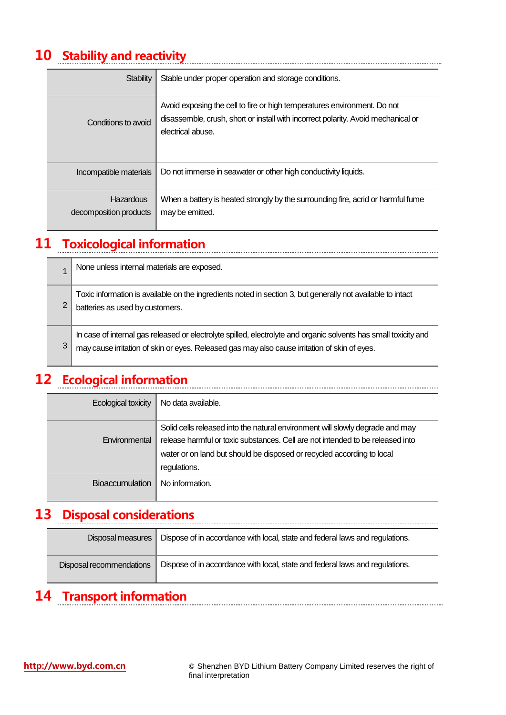## **10 Stability and reactivity**

| <b>Stability</b>                    | Stable under proper operation and storage conditions.                                                                                                                              |
|-------------------------------------|------------------------------------------------------------------------------------------------------------------------------------------------------------------------------------|
| Conditions to avoid                 | Avoid exposing the cell to fire or high temperatures environment. Do not<br>disassemble, crush, short or install with incorrect polarity. Avoid mechanical or<br>electrical abuse. |
| Incompatible materials              | Do not immerse in seawater or other high conductivity liquids.                                                                                                                     |
| Hazardous<br>decomposition products | When a battery is heated strongly by the surrounding fire, acrid or harmful fume<br>may be emitted.                                                                                |

## **11 Toxicological information**

|   | None unless internal materials are exposed.                                                                                                                                                                       |
|---|-------------------------------------------------------------------------------------------------------------------------------------------------------------------------------------------------------------------|
| 2 | Toxic information is available on the ingredients noted in section 3, but generally not available to intact<br>batteries as used by customers.                                                                    |
| 3 | In case of internal gas released or electrolyte spilled, electrolyte and organic solvents has small toxicity and<br>may cause irritation of skin or eyes. Released gas may also cause irritation of skin of eyes. |

## **12 Ecological information**

| Ecological toxicity    | No data available.                                                                                                                                                                                                                                        |
|------------------------|-----------------------------------------------------------------------------------------------------------------------------------------------------------------------------------------------------------------------------------------------------------|
| Environmental          | Solid cells released into the natural environment will slowly degrade and may<br>release harmful or toxic substances. Cell are not intended to be released into<br>water or on land but should be disposed or recycled according to local<br>regulations. |
| <b>Bioaccumulation</b> | No information.                                                                                                                                                                                                                                           |

### **13 Disposal considerations**

| Disposal measures        | Dispose of in accordance with local, state and federal laws and regulations. |
|--------------------------|------------------------------------------------------------------------------|
| Disposal recommendations | Dispose of in accordance with local, state and federal laws and regulations. |

## **14 Transport information**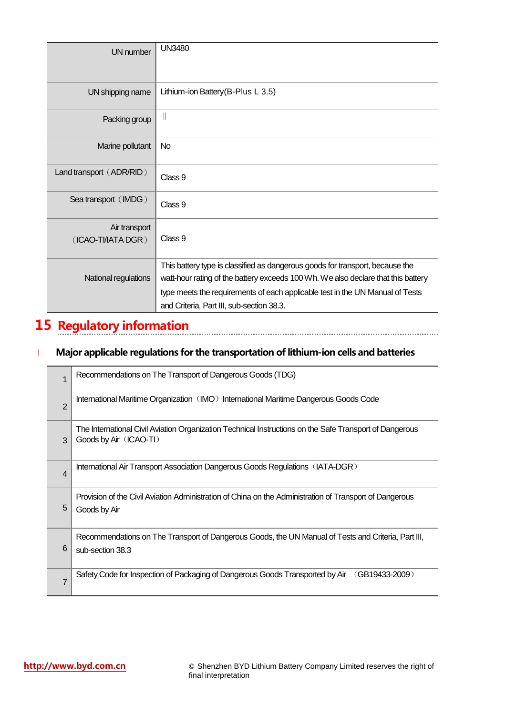| <b>UN</b> number                    | <b>UN3480</b>                                                                                                                                                                                                                                                                                    |
|-------------------------------------|--------------------------------------------------------------------------------------------------------------------------------------------------------------------------------------------------------------------------------------------------------------------------------------------------|
| UN shipping name                    | Lithium-ion Battery (B-Plus L 3.5)                                                                                                                                                                                                                                                               |
| Packing group                       | $\begin{array}{c} \hline \end{array}$                                                                                                                                                                                                                                                            |
| Marine pollutant                    | <b>No</b>                                                                                                                                                                                                                                                                                        |
| Land transport (ADR/RID)            | Class 9                                                                                                                                                                                                                                                                                          |
| Sea transport (IMDG)                | Class 9                                                                                                                                                                                                                                                                                          |
| Air transport<br>(ICAO-TI/IATA DGR) | Class 9                                                                                                                                                                                                                                                                                          |
| National regulations                | This battery type is classified as dangerous goods for transport, because the<br>watt-hour rating of the battery exceeds 100 Wh. We also declare that this battery<br>type meets the requirements of each applicable test in the UN Manual of Tests<br>and Criteria, Part III, sub-section 38.3. |

## **15 Regulatory information**

### | **Major applicable regulations for the transportation of lithium-ion cells and batteries**

| 1              | Recommendations on The Transport of Dangerous Goods (TDG)                                                                         |
|----------------|-----------------------------------------------------------------------------------------------------------------------------------|
| $\overline{2}$ | International Maritime Organization (IMO) International Maritime Dangerous Goods Code                                             |
| 3              | The International Civil Aviation Organization Technical Instructions on the Safe Transport of Dangerous<br>Goods by Air (ICAO-TI) |
| 4              | International Air Transport Association Dangerous Goods Regulations (IATA-DGR)                                                    |
| 5              | Provision of the Civil Aviation Administration of China on the Administration of Transport of Dangerous<br>Goods by Air           |
| 6              | Recommendations on The Transport of Dangerous Goods, the UN Manual of Tests and Criteria, Part III,<br>sub-section 38.3           |
| 7              | Safety Code for Inspection of Packaging of Dangerous Goods Transported by Air<br>(GB19433-2009)                                   |